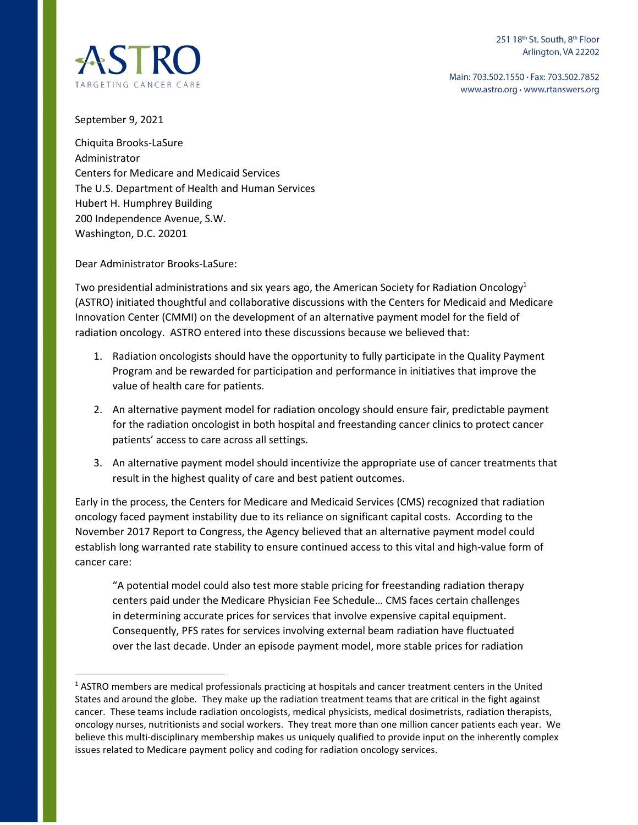251 18th St. South, 8th Floor Arlington, VA 22202

Main: 703.502.1550 · Fax: 703.502.7852 www.astro.org · www.rtanswers.org



September 9, 2021

Chiquita Brooks-LaSure Administrator Centers for Medicare and Medicaid Services The U.S. Department of Health and Human Services Hubert H. Humphrey Building 200 Independence Avenue, S.W. Washington, D.C. 20201

Dear Administrator Brooks-LaSure:

Two presidential administrations and six years ago, the American Society for Radiation Oncology<sup>1</sup> (ASTRO) initiated thoughtful and collaborative discussions with the Centers for Medicaid and Medicare Innovation Center (CMMI) on the development of an alternative payment model for the field of radiation oncology. ASTRO entered into these discussions because we believed that:

- 1. Radiation oncologists should have the opportunity to fully participate in the Quality Payment Program and be rewarded for participation and performance in initiatives that improve the value of health care for patients.
- 2. An alternative payment model for radiation oncology should ensure fair, predictable payment for the radiation oncologist in both hospital and freestanding cancer clinics to protect cancer patients' access to care across all settings.
- 3. An alternative payment model should incentivize the appropriate use of cancer treatments that result in the highest quality of care and best patient outcomes.

Early in the process, the Centers for Medicare and Medicaid Services (CMS) recognized that radiation oncology faced payment instability due to its reliance on significant capital costs. According to the November 2017 Report to Congress, the Agency believed that an alternative payment model could establish long warranted rate stability to ensure continued access to this vital and high-value form of cancer care:

"A potential model could also test more stable pricing for freestanding radiation therapy centers paid under the Medicare Physician Fee Schedule… CMS faces certain challenges in determining accurate prices for services that involve expensive capital equipment. Consequently, PFS rates for services involving external beam radiation have fluctuated over the last decade. Under an episode payment model, more stable prices for radiation

 $<sup>1</sup>$  ASTRO members are medical professionals practicing at hospitals and cancer treatment centers in the United</sup> States and around the globe. They make up the radiation treatment teams that are critical in the fight against cancer. These teams include radiation oncologists, medical physicists, medical dosimetrists, radiation therapists, oncology nurses, nutritionists and social workers. They treat more than one million cancer patients each year. We believe this multi-disciplinary membership makes us uniquely qualified to provide input on the inherently complex issues related to Medicare payment policy and coding for radiation oncology services.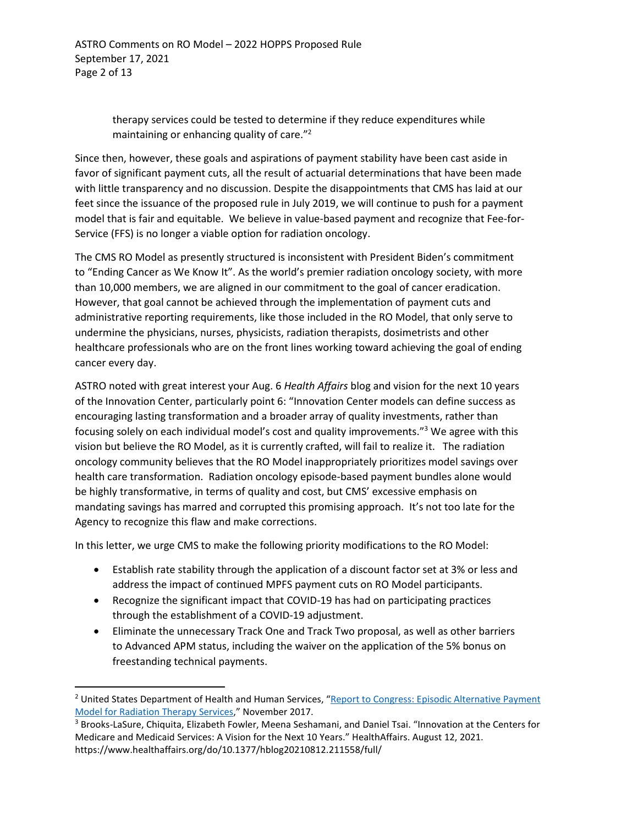therapy services could be tested to determine if they reduce expenditures while maintaining or enhancing quality of care."<sup>2</sup>

Since then, however, these goals and aspirations of payment stability have been cast aside in favor of significant payment cuts, all the result of actuarial determinations that have been made with little transparency and no discussion. Despite the disappointments that CMS has laid at our feet since the issuance of the proposed rule in July 2019, we will continue to push for a payment model that is fair and equitable. We believe in value-based payment and recognize that Fee-for-Service (FFS) is no longer a viable option for radiation oncology.

The CMS RO Model as presently structured is inconsistent with President Biden's commitment to "Ending Cancer as We Know It". As the world's premier radiation oncology society, with more than 10,000 members, we are aligned in our commitment to the goal of cancer eradication. However, that goal cannot be achieved through the implementation of payment cuts and administrative reporting requirements, like those included in the RO Model, that only serve to undermine the physicians, nurses, physicists, radiation therapists, dosimetrists and other healthcare professionals who are on the front lines working toward achieving the goal of ending cancer every day.

ASTRO noted with great interest your Aug. 6 *Health Affairs* blog and vision for the next 10 years of the Innovation Center, particularly point 6: "Innovation Center models can define success as encouraging lasting transformation and a broader array of quality investments, rather than focusing solely on each individual model's cost and quality improvements."<sup>3</sup> We agree with this vision but believe the RO Model, as it is currently crafted, will fail to realize it. The radiation oncology community believes that the RO Model inappropriately prioritizes model savings over health care transformation. Radiation oncology episode-based payment bundles alone would be highly transformative, in terms of quality and cost, but CMS' excessive emphasis on mandating savings has marred and corrupted this promising approach. It's not too late for the Agency to recognize this flaw and make corrections.

In this letter, we urge CMS to make the following priority modifications to the RO Model:

- Establish rate stability through the application of a discount factor set at 3% or less and address the impact of continued MPFS payment cuts on RO Model participants.
- Recognize the significant impact that COVID-19 has had on participating practices through the establishment of a COVID-19 adjustment.
- Eliminate the unnecessary Track One and Track Two proposal, as well as other barriers to Advanced APM status, including the waiver on the application of the 5% bonus on freestanding technical payments.

<sup>&</sup>lt;sup>2</sup> United States Department of Health and Human Services, "Report to Congress: Episodic Alternative Payment [Model for Radiation Therapy Services,](https://innovation.cms.gov/files/reports/radiationtherapy-apm-rtc.pdf)" November 2017.

<sup>&</sup>lt;sup>3</sup> Brooks-LaSure, Chiquita, Elizabeth Fowler, Meena Seshamani, and Daniel Tsai. "Innovation at the Centers for Medicare and Medicaid Services: A Vision for the Next 10 Years." HealthAffairs. August 12, 2021. https://www.healthaffairs.org/do/10.1377/hblog20210812.211558/full/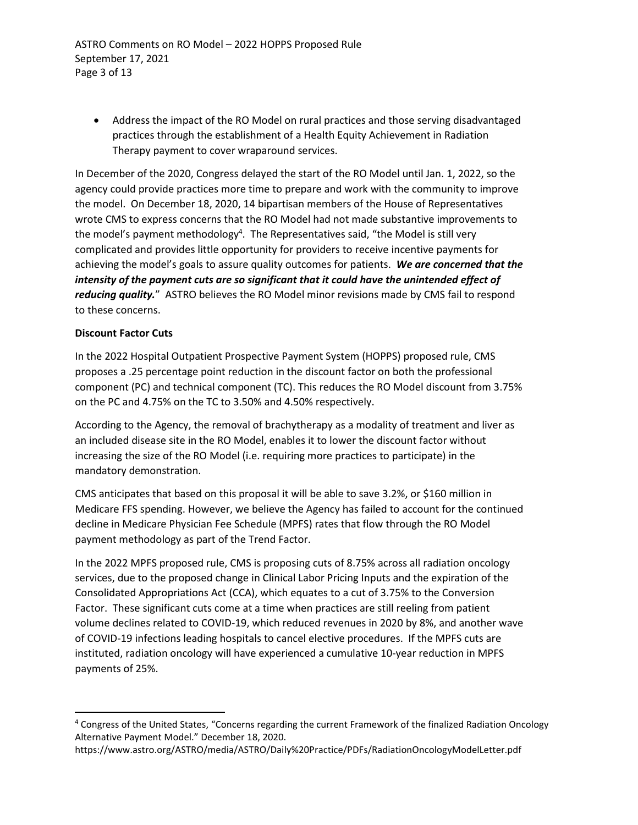ASTRO Comments on RO Model – 2022 HOPPS Proposed Rule September 17, 2021 Page 3 of 13

 Address the impact of the RO Model on rural practices and those serving disadvantaged practices through the establishment of a Health Equity Achievement in Radiation Therapy payment to cover wraparound services.

In December of the 2020, Congress delayed the start of the RO Model until Jan. 1, 2022, so the agency could provide practices more time to prepare and work with the community to improve the model. On December 18, 2020, 14 bipartisan members of the House of Representatives wrote CMS to express concerns that the RO Model had not made substantive improvements to the model's payment methodology<sup>4</sup>. The Representatives said, "the Model is still very complicated and provides little opportunity for providers to receive incentive payments for achieving the model's goals to assure quality outcomes for patients. *We are concerned that the intensity of the payment cuts are so significant that it could have the unintended effect of reducing quality.*" ASTRO believes the RO Model minor revisions made by CMS fail to respond to these concerns.

## **Discount Factor Cuts**

In the 2022 Hospital Outpatient Prospective Payment System (HOPPS) proposed rule, CMS proposes a .25 percentage point reduction in the discount factor on both the professional component (PC) and technical component (TC). This reduces the RO Model discount from 3.75% on the PC and 4.75% on the TC to 3.50% and 4.50% respectively.

According to the Agency, the removal of brachytherapy as a modality of treatment and liver as an included disease site in the RO Model, enables it to lower the discount factor without increasing the size of the RO Model (i.e. requiring more practices to participate) in the mandatory demonstration.

CMS anticipates that based on this proposal it will be able to save 3.2%, or \$160 million in Medicare FFS spending. However, we believe the Agency has failed to account for the continued decline in Medicare Physician Fee Schedule (MPFS) rates that flow through the RO Model payment methodology as part of the Trend Factor.

In the 2022 MPFS proposed rule, CMS is proposing cuts of 8.75% across all radiation oncology services, due to the proposed change in Clinical Labor Pricing Inputs and the expiration of the Consolidated Appropriations Act (CCA), which equates to a cut of 3.75% to the Conversion Factor. These significant cuts come at a time when practices are still reeling from patient volume declines related to COVID-19, which reduced revenues in 2020 by 8%, and another wave of COVID-19 infections leading hospitals to cancel elective procedures. If the MPFS cuts are instituted, radiation oncology will have experienced a cumulative 10-year reduction in MPFS payments of 25%.

<sup>&</sup>lt;sup>4</sup> Congress of the United States, "Concerns regarding the current Framework of the finalized Radiation Oncology Alternative Payment Model." December 18, 2020.

https://www.astro.org/ASTRO/media/ASTRO/Daily%20Practice/PDFs/RadiationOncologyModelLetter.pdf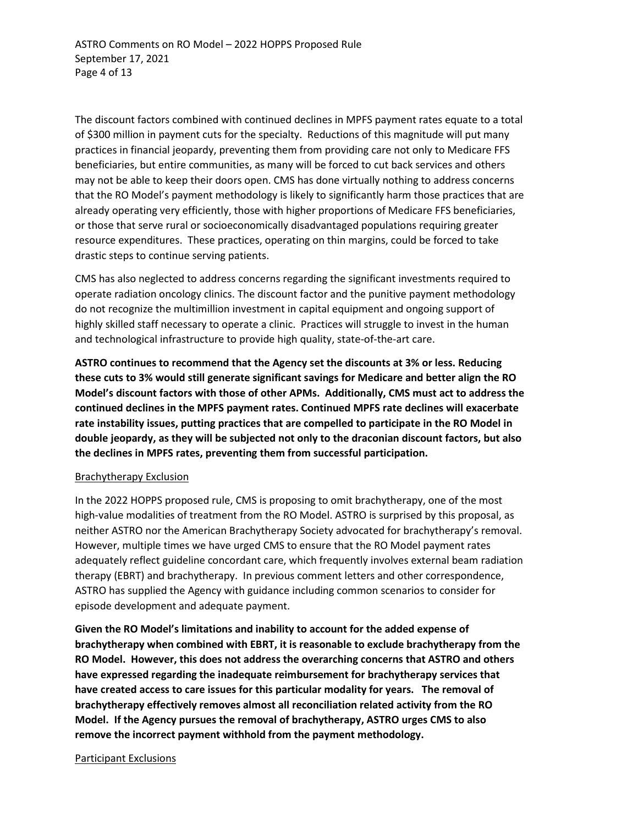The discount factors combined with continued declines in MPFS payment rates equate to a total of \$300 million in payment cuts for the specialty. Reductions of this magnitude will put many practices in financial jeopardy, preventing them from providing care not only to Medicare FFS beneficiaries, but entire communities, as many will be forced to cut back services and others may not be able to keep their doors open. CMS has done virtually nothing to address concerns that the RO Model's payment methodology is likely to significantly harm those practices that are already operating very efficiently, those with higher proportions of Medicare FFS beneficiaries, or those that serve rural or socioeconomically disadvantaged populations requiring greater resource expenditures. These practices, operating on thin margins, could be forced to take drastic steps to continue serving patients.

CMS has also neglected to address concerns regarding the significant investments required to operate radiation oncology clinics. The discount factor and the punitive payment methodology do not recognize the multimillion investment in capital equipment and ongoing support of highly skilled staff necessary to operate a clinic. Practices will struggle to invest in the human and technological infrastructure to provide high quality, state-of-the-art care.

**ASTRO continues to recommend that the Agency set the discounts at 3% or less. Reducing these cuts to 3% would still generate significant savings for Medicare and better align the RO Model's discount factors with those of other APMs. Additionally, CMS must act to address the continued declines in the MPFS payment rates. Continued MPFS rate declines will exacerbate rate instability issues, putting practices that are compelled to participate in the RO Model in double jeopardy, as they will be subjected not only to the draconian discount factors, but also the declines in MPFS rates, preventing them from successful participation.** 

## Brachytherapy Exclusion

In the 2022 HOPPS proposed rule, CMS is proposing to omit brachytherapy, one of the most high-value modalities of treatment from the RO Model. ASTRO is surprised by this proposal, as neither ASTRO nor the American Brachytherapy Society advocated for brachytherapy's removal. However, multiple times we have urged CMS to ensure that the RO Model payment rates adequately reflect guideline concordant care, which frequently involves external beam radiation therapy (EBRT) and brachytherapy. In previous comment letters and other correspondence, ASTRO has supplied the Agency with guidance including common scenarios to consider for episode development and adequate payment.

**Given the RO Model's limitations and inability to account for the added expense of brachytherapy when combined with EBRT, it is reasonable to exclude brachytherapy from the RO Model. However, this does not address the overarching concerns that ASTRO and others have expressed regarding the inadequate reimbursement for brachytherapy services that have created access to care issues for this particular modality for years. The removal of brachytherapy effectively removes almost all reconciliation related activity from the RO Model. If the Agency pursues the removal of brachytherapy, ASTRO urges CMS to also remove the incorrect payment withhold from the payment methodology.** 

### Participant Exclusions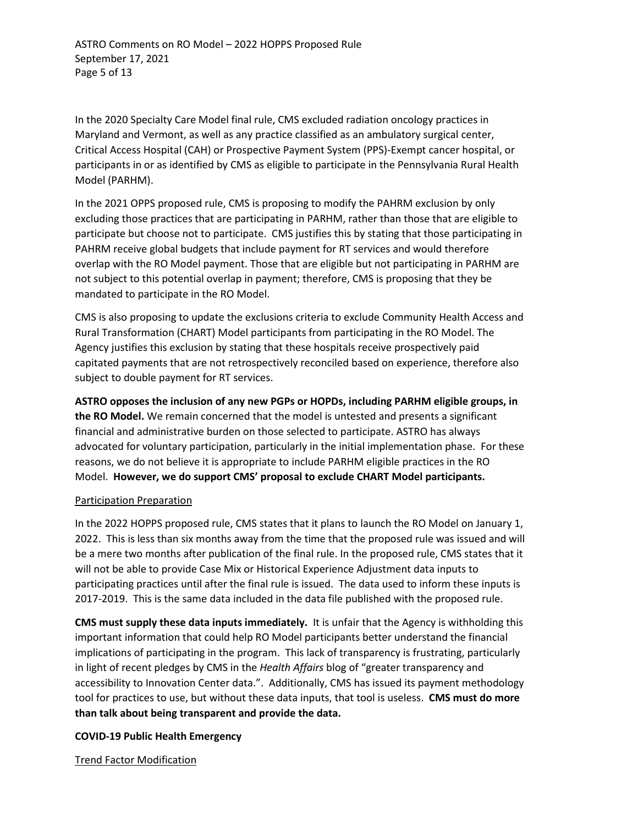ASTRO Comments on RO Model – 2022 HOPPS Proposed Rule September 17, 2021 Page 5 of 13

In the 2020 Specialty Care Model final rule, CMS excluded radiation oncology practices in Maryland and Vermont, as well as any practice classified as an ambulatory surgical center, Critical Access Hospital (CAH) or Prospective Payment System (PPS)-Exempt cancer hospital, or participants in or as identified by CMS as eligible to participate in the Pennsylvania Rural Health Model (PARHM).

In the 2021 OPPS proposed rule, CMS is proposing to modify the PAHRM exclusion by only excluding those practices that are participating in PARHM, rather than those that are eligible to participate but choose not to participate. CMS justifies this by stating that those participating in PAHRM receive global budgets that include payment for RT services and would therefore overlap with the RO Model payment. Those that are eligible but not participating in PARHM are not subject to this potential overlap in payment; therefore, CMS is proposing that they be mandated to participate in the RO Model.

CMS is also proposing to update the exclusions criteria to exclude Community Health Access and Rural Transformation (CHART) Model participants from participating in the RO Model. The Agency justifies this exclusion by stating that these hospitals receive prospectively paid capitated payments that are not retrospectively reconciled based on experience, therefore also subject to double payment for RT services.

**ASTRO opposes the inclusion of any new PGPs or HOPDs, including PARHM eligible groups, in the RO Model.** We remain concerned that the model is untested and presents a significant financial and administrative burden on those selected to participate. ASTRO has always advocated for voluntary participation, particularly in the initial implementation phase. For these reasons, we do not believe it is appropriate to include PARHM eligible practices in the RO Model. **However, we do support CMS' proposal to exclude CHART Model participants.** 

## Participation Preparation

In the 2022 HOPPS proposed rule, CMS states that it plans to launch the RO Model on January 1, 2022. This is less than six months away from the time that the proposed rule was issued and will be a mere two months after publication of the final rule. In the proposed rule, CMS states that it will not be able to provide Case Mix or Historical Experience Adjustment data inputs to participating practices until after the final rule is issued. The data used to inform these inputs is 2017-2019. This is the same data included in the data file published with the proposed rule.

**CMS must supply these data inputs immediately.** It is unfair that the Agency is withholding this important information that could help RO Model participants better understand the financial implications of participating in the program. This lack of transparency is frustrating, particularly in light of recent pledges by CMS in the *Health Affairs* blog of "greater transparency and accessibility to Innovation Center data.". Additionally, CMS has issued its payment methodology tool for practices to use, but without these data inputs, that tool is useless. **CMS must do more than talk about being transparent and provide the data.**

## **COVID-19 Public Health Emergency**

Trend Factor Modification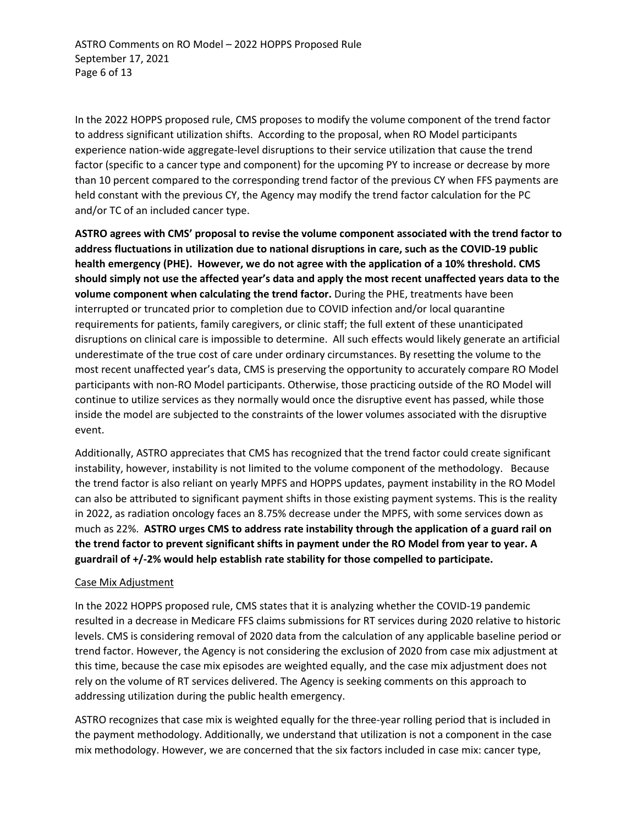In the 2022 HOPPS proposed rule, CMS proposes to modify the volume component of the trend factor to address significant utilization shifts. According to the proposal, when RO Model participants experience nation-wide aggregate-level disruptions to their service utilization that cause the trend factor (specific to a cancer type and component) for the upcoming PY to increase or decrease by more than 10 percent compared to the corresponding trend factor of the previous CY when FFS payments are held constant with the previous CY, the Agency may modify the trend factor calculation for the PC and/or TC of an included cancer type.

**ASTRO agrees with CMS' proposal to revise the volume component associated with the trend factor to address fluctuations in utilization due to national disruptions in care, such as the COVID-19 public health emergency (PHE). However, we do not agree with the application of a 10% threshold. CMS should simply not use the affected year's data and apply the most recent unaffected years data to the volume component when calculating the trend factor.** During the PHE, treatments have been interrupted or truncated prior to completion due to COVID infection and/or local quarantine requirements for patients, family caregivers, or clinic staff; the full extent of these unanticipated disruptions on clinical care is impossible to determine. All such effects would likely generate an artificial underestimate of the true cost of care under ordinary circumstances. By resetting the volume to the most recent unaffected year's data, CMS is preserving the opportunity to accurately compare RO Model participants with non-RO Model participants. Otherwise, those practicing outside of the RO Model will continue to utilize services as they normally would once the disruptive event has passed, while those inside the model are subjected to the constraints of the lower volumes associated with the disruptive event.

Additionally, ASTRO appreciates that CMS has recognized that the trend factor could create significant instability, however, instability is not limited to the volume component of the methodology. Because the trend factor is also reliant on yearly MPFS and HOPPS updates, payment instability in the RO Model can also be attributed to significant payment shifts in those existing payment systems. This is the reality in 2022, as radiation oncology faces an 8.75% decrease under the MPFS, with some services down as much as 22%. **ASTRO urges CMS to address rate instability through the application of a guard rail on the trend factor to prevent significant shifts in payment under the RO Model from year to year. A guardrail of +/-2% would help establish rate stability for those compelled to participate.**

## Case Mix Adjustment

In the 2022 HOPPS proposed rule, CMS states that it is analyzing whether the COVID-19 pandemic resulted in a decrease in Medicare FFS claims submissions for RT services during 2020 relative to historic levels. CMS is considering removal of 2020 data from the calculation of any applicable baseline period or trend factor. However, the Agency is not considering the exclusion of 2020 from case mix adjustment at this time, because the case mix episodes are weighted equally, and the case mix adjustment does not rely on the volume of RT services delivered. The Agency is seeking comments on this approach to addressing utilization during the public health emergency.

ASTRO recognizes that case mix is weighted equally for the three-year rolling period that is included in the payment methodology. Additionally, we understand that utilization is not a component in the case mix methodology. However, we are concerned that the six factors included in case mix: cancer type,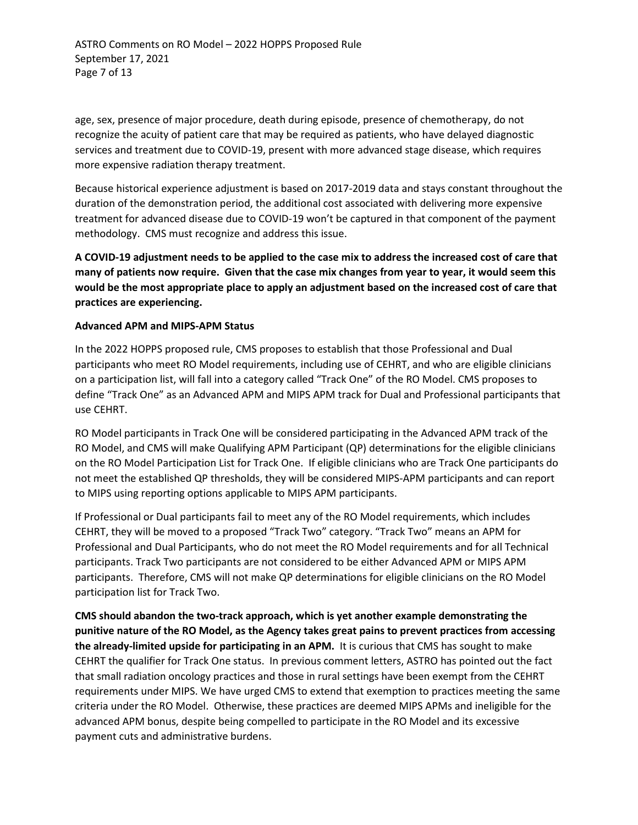ASTRO Comments on RO Model – 2022 HOPPS Proposed Rule September 17, 2021 Page 7 of 13

age, sex, presence of major procedure, death during episode, presence of chemotherapy, do not recognize the acuity of patient care that may be required as patients, who have delayed diagnostic services and treatment due to COVID-19, present with more advanced stage disease, which requires more expensive radiation therapy treatment.

Because historical experience adjustment is based on 2017-2019 data and stays constant throughout the duration of the demonstration period, the additional cost associated with delivering more expensive treatment for advanced disease due to COVID-19 won't be captured in that component of the payment methodology. CMS must recognize and address this issue.

**A COVID-19 adjustment needs to be applied to the case mix to address the increased cost of care that many of patients now require. Given that the case mix changes from year to year, it would seem this would be the most appropriate place to apply an adjustment based on the increased cost of care that practices are experiencing.** 

## **Advanced APM and MIPS-APM Status**

In the 2022 HOPPS proposed rule, CMS proposes to establish that those Professional and Dual participants who meet RO Model requirements, including use of CEHRT, and who are eligible clinicians on a participation list, will fall into a category called "Track One" of the RO Model. CMS proposes to define "Track One" as an Advanced APM and MIPS APM track for Dual and Professional participants that use CEHRT.

RO Model participants in Track One will be considered participating in the Advanced APM track of the RO Model, and CMS will make Qualifying APM Participant (QP) determinations for the eligible clinicians on the RO Model Participation List for Track One. If eligible clinicians who are Track One participants do not meet the established QP thresholds, they will be considered MIPS-APM participants and can report to MIPS using reporting options applicable to MIPS APM participants.

If Professional or Dual participants fail to meet any of the RO Model requirements, which includes CEHRT, they will be moved to a proposed "Track Two" category. "Track Two" means an APM for Professional and Dual Participants, who do not meet the RO Model requirements and for all Technical participants. Track Two participants are not considered to be either Advanced APM or MIPS APM participants. Therefore, CMS will not make QP determinations for eligible clinicians on the RO Model participation list for Track Two.

**CMS should abandon the two-track approach, which is yet another example demonstrating the punitive nature of the RO Model, as the Agency takes great pains to prevent practices from accessing the already-limited upside for participating in an APM.** It is curious that CMS has sought to make CEHRT the qualifier for Track One status. In previous comment letters, ASTRO has pointed out the fact that small radiation oncology practices and those in rural settings have been exempt from the CEHRT requirements under MIPS. We have urged CMS to extend that exemption to practices meeting the same criteria under the RO Model. Otherwise, these practices are deemed MIPS APMs and ineligible for the advanced APM bonus, despite being compelled to participate in the RO Model and its excessive payment cuts and administrative burdens.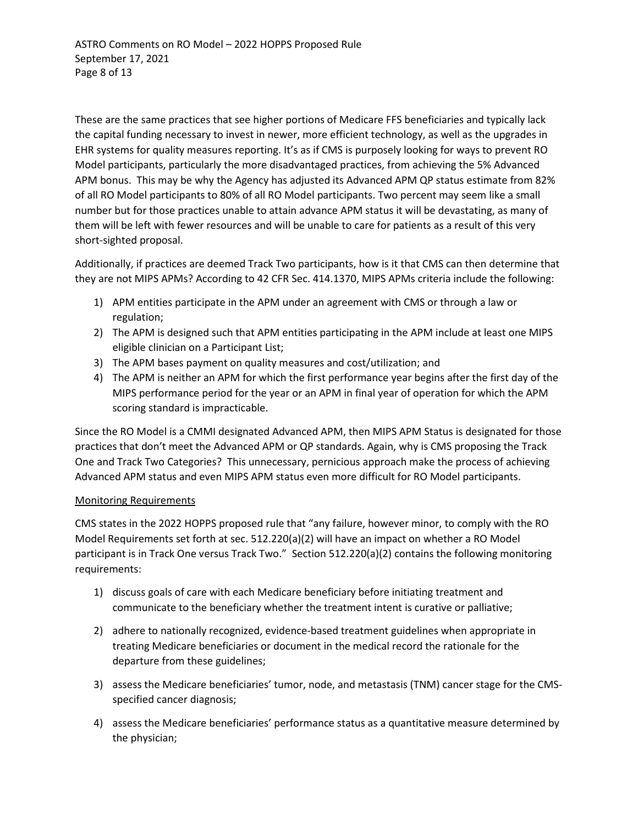These are the same practices that see higher portions of Medicare FFS beneficiaries and typically lack the capital funding necessary to invest in newer, more efficient technology, as well as the upgrades in EHR systems for quality measures reporting. It's as if CMS is purposely looking for ways to prevent RO Model participants, particularly the more disadvantaged practices, from achieving the 5% Advanced APM bonus. This may be why the Agency has adjusted its Advanced APM QP status estimate from 82% of all RO Model participants to 80% of all RO Model participants. Two percent may seem like a small number but for those practices unable to attain advance APM status it will be devastating, as many of them will be left with fewer resources and will be unable to care for patients as a result of this very short-sighted proposal.

Additionally, if practices are deemed Track Two participants, how is it that CMS can then determine that they are not MIPS APMs? According to 42 CFR Sec. 414.1370, MIPS APMs criteria include the following:

- 1) APM entities participate in the APM under an agreement with CMS or through a law or regulation;
- 2) The APM is designed such that APM entities participating in the APM include at least one MIPS eligible clinician on a Participant List;
- 3) The APM bases payment on quality measures and cost/utilization; and
- 4) The APM is neither an APM for which the first performance year begins after the first day of the MIPS performance period for the year or an APM in final year of operation for which the APM scoring standard is impracticable.

Since the RO Model is a CMMI designated Advanced APM, then MIPS APM Status is designated for those practices that don't meet the Advanced APM or QP standards. Again, why is CMS proposing the Track One and Track Two Categories? This unnecessary, pernicious approach make the process of achieving Advanced APM status and even MIPS APM status even more difficult for RO Model participants.

# Monitoring Requirements

CMS states in the 2022 HOPPS proposed rule that "any failure, however minor, to comply with the RO Model Requirements set forth at sec. 512.220(a)(2) will have an impact on whether a RO Model participant is in Track One versus Track Two." Section 512.220(a)(2) contains the following monitoring requirements:

- 1) discuss goals of care with each Medicare beneficiary before initiating treatment and communicate to the beneficiary whether the treatment intent is curative or palliative;
- 2) adhere to nationally recognized, evidence-based treatment guidelines when appropriate in treating Medicare beneficiaries or document in the medical record the rationale for the departure from these guidelines;
- 3) assess the Medicare beneficiaries' tumor, node, and metastasis (TNM) cancer stage for the CMSspecified cancer diagnosis;
- 4) assess the Medicare beneficiaries' performance status as a quantitative measure determined by the physician;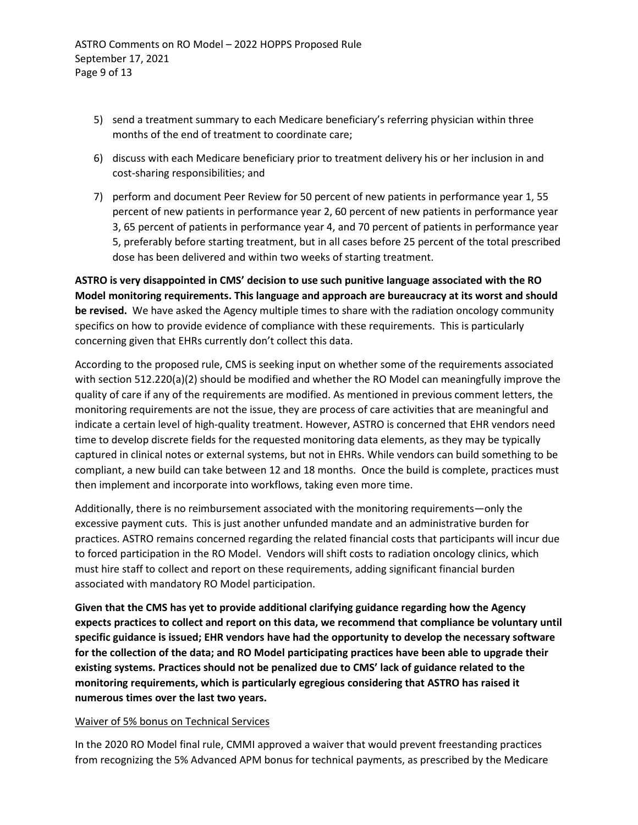- 5) send a treatment summary to each Medicare beneficiary's referring physician within three months of the end of treatment to coordinate care;
- 6) discuss with each Medicare beneficiary prior to treatment delivery his or her inclusion in and cost-sharing responsibilities; and
- 7) perform and document Peer Review for 50 percent of new patients in performance year 1, 55 percent of new patients in performance year 2, 60 percent of new patients in performance year 3, 65 percent of patients in performance year 4, and 70 percent of patients in performance year 5, preferably before starting treatment, but in all cases before 25 percent of the total prescribed dose has been delivered and within two weeks of starting treatment.

**ASTRO is very disappointed in CMS' decision to use such punitive language associated with the RO Model monitoring requirements. This language and approach are bureaucracy at its worst and should be revised.** We have asked the Agency multiple times to share with the radiation oncology community specifics on how to provide evidence of compliance with these requirements. This is particularly concerning given that EHRs currently don't collect this data.

According to the proposed rule, CMS is seeking input on whether some of the requirements associated with section 512.220(a)(2) should be modified and whether the RO Model can meaningfully improve the quality of care if any of the requirements are modified. As mentioned in previous comment letters, the monitoring requirements are not the issue, they are process of care activities that are meaningful and indicate a certain level of high-quality treatment. However, ASTRO is concerned that EHR vendors need time to develop discrete fields for the requested monitoring data elements, as they may be typically captured in clinical notes or external systems, but not in EHRs. While vendors can build something to be compliant, a new build can take between 12 and 18 months. Once the build is complete, practices must then implement and incorporate into workflows, taking even more time.

Additionally, there is no reimbursement associated with the monitoring requirements—only the excessive payment cuts. This is just another unfunded mandate and an administrative burden for practices. ASTRO remains concerned regarding the related financial costs that participants will incur due to forced participation in the RO Model. Vendors will shift costs to radiation oncology clinics, which must hire staff to collect and report on these requirements, adding significant financial burden associated with mandatory RO Model participation.

**Given that the CMS has yet to provide additional clarifying guidance regarding how the Agency expects practices to collect and report on this data, we recommend that compliance be voluntary until specific guidance is issued; EHR vendors have had the opportunity to develop the necessary software for the collection of the data; and RO Model participating practices have been able to upgrade their existing systems. Practices should not be penalized due to CMS' lack of guidance related to the monitoring requirements, which is particularly egregious considering that ASTRO has raised it numerous times over the last two years.** 

# Waiver of 5% bonus on Technical Services

In the 2020 RO Model final rule, CMMI approved a waiver that would prevent freestanding practices from recognizing the 5% Advanced APM bonus for technical payments, as prescribed by the Medicare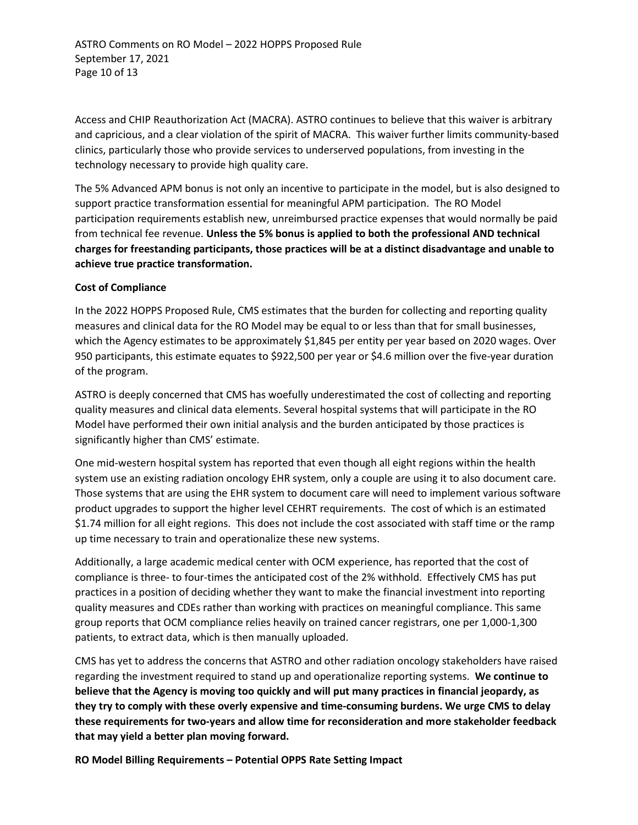Access and CHIP Reauthorization Act (MACRA). ASTRO continues to believe that this waiver is arbitrary and capricious, and a clear violation of the spirit of MACRA. This waiver further limits community-based clinics, particularly those who provide services to underserved populations, from investing in the technology necessary to provide high quality care.

The 5% Advanced APM bonus is not only an incentive to participate in the model, but is also designed to support practice transformation essential for meaningful APM participation. The RO Model participation requirements establish new, unreimbursed practice expenses that would normally be paid from technical fee revenue. **Unless the 5% bonus is applied to both the professional AND technical charges for freestanding participants, those practices will be at a distinct disadvantage and unable to achieve true practice transformation.** 

## **Cost of Compliance**

In the 2022 HOPPS Proposed Rule, CMS estimates that the burden for collecting and reporting quality measures and clinical data for the RO Model may be equal to or less than that for small businesses, which the Agency estimates to be approximately \$1,845 per entity per year based on 2020 wages. Over 950 participants, this estimate equates to \$922,500 per year or \$4.6 million over the five-year duration of the program.

ASTRO is deeply concerned that CMS has woefully underestimated the cost of collecting and reporting quality measures and clinical data elements. Several hospital systems that will participate in the RO Model have performed their own initial analysis and the burden anticipated by those practices is significantly higher than CMS' estimate.

One mid-western hospital system has reported that even though all eight regions within the health system use an existing radiation oncology EHR system, only a couple are using it to also document care. Those systems that are using the EHR system to document care will need to implement various software product upgrades to support the higher level CEHRT requirements. The cost of which is an estimated \$1.74 million for all eight regions. This does not include the cost associated with staff time or the ramp up time necessary to train and operationalize these new systems.

Additionally, a large academic medical center with OCM experience, has reported that the cost of compliance is three- to four-times the anticipated cost of the 2% withhold. Effectively CMS has put practices in a position of deciding whether they want to make the financial investment into reporting quality measures and CDEs rather than working with practices on meaningful compliance. This same group reports that OCM compliance relies heavily on trained cancer registrars, one per 1,000-1,300 patients, to extract data, which is then manually uploaded.

CMS has yet to address the concerns that ASTRO and other radiation oncology stakeholders have raised regarding the investment required to stand up and operationalize reporting systems. **We continue to believe that the Agency is moving too quickly and will put many practices in financial jeopardy, as they try to comply with these overly expensive and time-consuming burdens. We urge CMS to delay these requirements for two-years and allow time for reconsideration and more stakeholder feedback that may yield a better plan moving forward.** 

**RO Model Billing Requirements – Potential OPPS Rate Setting Impact**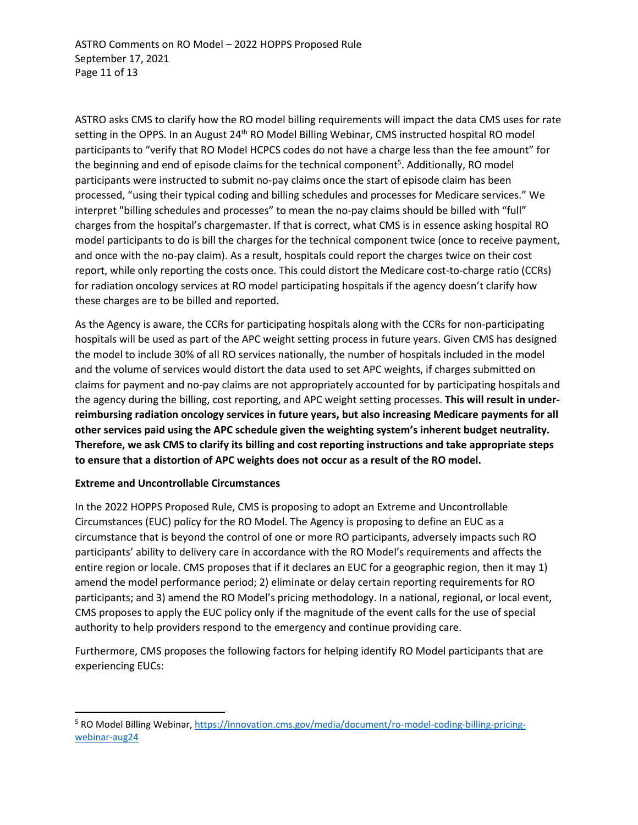ASTRO asks CMS to clarify how the RO model billing requirements will impact the data CMS uses for rate setting in the OPPS. In an August 24<sup>th</sup> RO Model Billing Webinar, CMS instructed hospital RO model participants to "verify that RO Model HCPCS codes do not have a charge less than the fee amount" for the beginning and end of episode claims for the technical component<sup>5</sup>. Additionally, RO model participants were instructed to submit no-pay claims once the start of episode claim has been processed, "using their typical coding and billing schedules and processes for Medicare services." We interpret "billing schedules and processes" to mean the no-pay claims should be billed with "full" charges from the hospital's chargemaster. If that is correct, what CMS is in essence asking hospital RO model participants to do is bill the charges for the technical component twice (once to receive payment, and once with the no-pay claim). As a result, hospitals could report the charges twice on their cost report, while only reporting the costs once. This could distort the Medicare cost-to-charge ratio (CCRs) for radiation oncology services at RO model participating hospitals if the agency doesn't clarify how these charges are to be billed and reported.

As the Agency is aware, the CCRs for participating hospitals along with the CCRs for non-participating hospitals will be used as part of the APC weight setting process in future years. Given CMS has designed the model to include 30% of all RO services nationally, the number of hospitals included in the model and the volume of services would distort the data used to set APC weights, if charges submitted on claims for payment and no-pay claims are not appropriately accounted for by participating hospitals and the agency during the billing, cost reporting, and APC weight setting processes. **This will result in underreimbursing radiation oncology services in future years, but also increasing Medicare payments for all other services paid using the APC schedule given the weighting system's inherent budget neutrality. Therefore, we ask CMS to clarify its billing and cost reporting instructions and take appropriate steps to ensure that a distortion of APC weights does not occur as a result of the RO model.** 

# **Extreme and Uncontrollable Circumstances**

In the 2022 HOPPS Proposed Rule, CMS is proposing to adopt an Extreme and Uncontrollable Circumstances (EUC) policy for the RO Model. The Agency is proposing to define an EUC as a circumstance that is beyond the control of one or more RO participants, adversely impacts such RO participants' ability to delivery care in accordance with the RO Model's requirements and affects the entire region or locale. CMS proposes that if it declares an EUC for a geographic region, then it may 1) amend the model performance period; 2) eliminate or delay certain reporting requirements for RO participants; and 3) amend the RO Model's pricing methodology. In a national, regional, or local event, CMS proposes to apply the EUC policy only if the magnitude of the event calls for the use of special authority to help providers respond to the emergency and continue providing care.

Furthermore, CMS proposes the following factors for helping identify RO Model participants that are experiencing EUCs:

<sup>&</sup>lt;sup>5</sup> RO Model Billing Webinar, [https://innovation.cms.gov/media/document/ro-model-coding-billing-pricing](https://innovation.cms.gov/media/document/ro-model-coding-billing-pricing-webinar-aug24)[webinar-aug24](https://innovation.cms.gov/media/document/ro-model-coding-billing-pricing-webinar-aug24)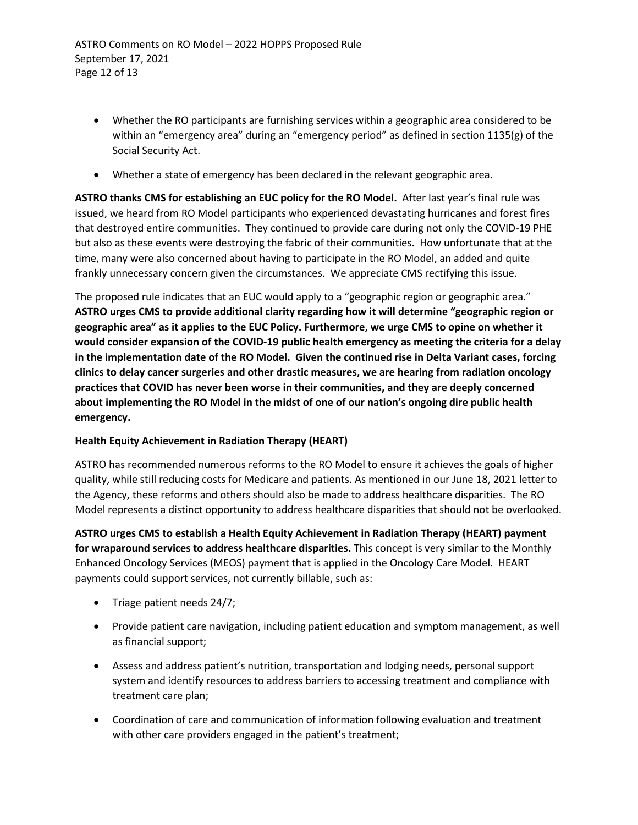- Whether the RO participants are furnishing services within a geographic area considered to be within an "emergency area" during an "emergency period" as defined in section 1135(g) of the Social Security Act.
- Whether a state of emergency has been declared in the relevant geographic area.

**ASTRO thanks CMS for establishing an EUC policy for the RO Model.** After last year's final rule was issued, we heard from RO Model participants who experienced devastating hurricanes and forest fires that destroyed entire communities. They continued to provide care during not only the COVID-19 PHE but also as these events were destroying the fabric of their communities. How unfortunate that at the time, many were also concerned about having to participate in the RO Model, an added and quite frankly unnecessary concern given the circumstances. We appreciate CMS rectifying this issue.

The proposed rule indicates that an EUC would apply to a "geographic region or geographic area." **ASTRO urges CMS to provide additional clarity regarding how it will determine "geographic region or geographic area" as it applies to the EUC Policy. Furthermore, we urge CMS to opine on whether it would consider expansion of the COVID-19 public health emergency as meeting the criteria for a delay in the implementation date of the RO Model. Given the continued rise in Delta Variant cases, forcing clinics to delay cancer surgeries and other drastic measures, we are hearing from radiation oncology practices that COVID has never been worse in their communities, and they are deeply concerned about implementing the RO Model in the midst of one of our nation's ongoing dire public health emergency.** 

# **Health Equity Achievement in Radiation Therapy (HEART)**

ASTRO has recommended numerous reforms to the RO Model to ensure it achieves the goals of higher quality, while still reducing costs for Medicare and patients. As mentioned in our June 18, 2021 letter to the Agency, these reforms and others should also be made to address healthcare disparities. The RO Model represents a distinct opportunity to address healthcare disparities that should not be overlooked.

**ASTRO urges CMS to establish a Health Equity Achievement in Radiation Therapy (HEART) payment for wraparound services to address healthcare disparities.** This concept is very similar to the Monthly Enhanced Oncology Services (MEOS) payment that is applied in the Oncology Care Model. HEART payments could support services, not currently billable, such as:

- Triage patient needs 24/7;
- Provide patient care navigation, including patient education and symptom management, as well as financial support;
- Assess and address patient's nutrition, transportation and lodging needs, personal support system and identify resources to address barriers to accessing treatment and compliance with treatment care plan;
- Coordination of care and communication of information following evaluation and treatment with other care providers engaged in the patient's treatment;